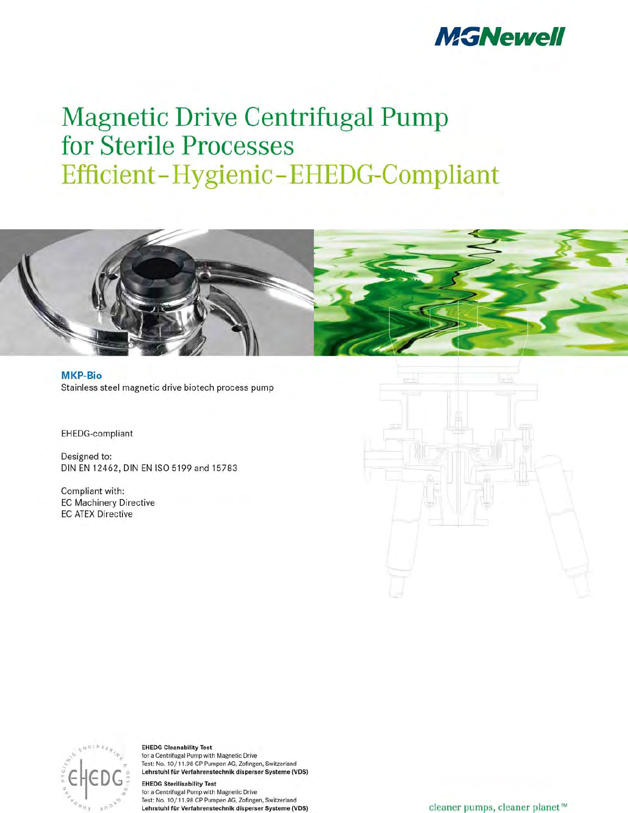

# **Magnetic Drive Centrifugal Pump** for Sterile Processes Efficient-Hygienic-EHEDG-Compliant



EHEDG-compliant

Designed to: DIN EN 12462, DIN EN ISO 5199 and 15783

Compliant with: **EC Machinery Directive EC ATEX Directive** 



**EHEDG Cleanability Test** for a Centrifugal Pump with Magnetic Drive Test: No. 10/11.98 CP Pumpen AG, Zofingen, Switzerland Lehrstuhl für Verfahrenstechnik disperser Systeme (VDS)

**EHEDG Sterilisability Test** for a Centrifugal Pump with Magnetic Drive Test: No. 10/11.98 CP Pumpen AG, Zofingen, Switzerland Lehrstuhl für Verfahrenstechnik disperser Systeme (VDS)

cleaner pumps, cleaner planet™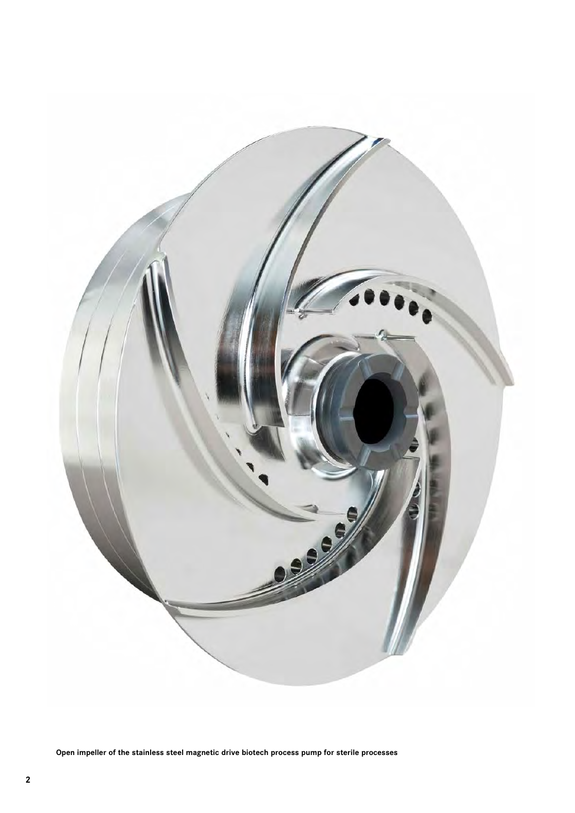

**Open impeller of the stainless steel magnetic drive biotech process pump for sterile processes**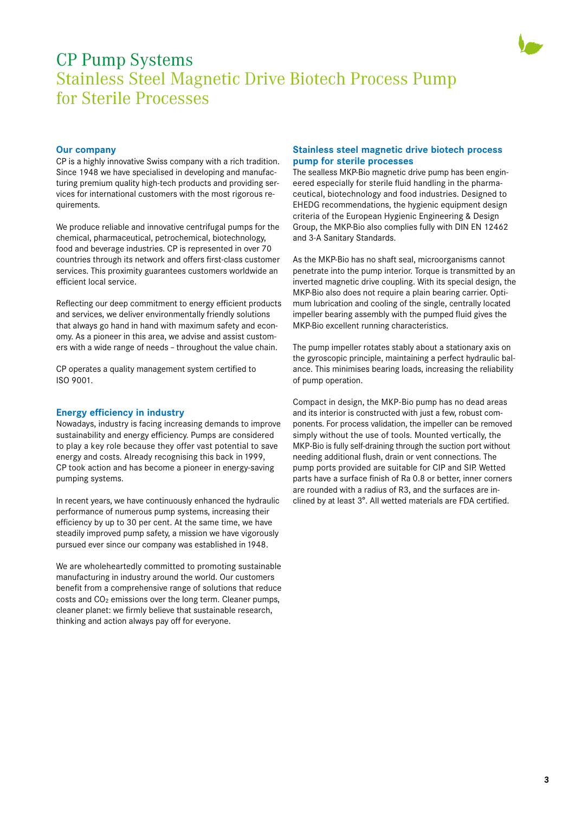

# CP Pump Systems Stainless Steel Magnetic Drive Biotech Process Pump for Sterile Processes

# **Our company**

CP is a highly innovative Swiss company with a rich tradition. Since 1948 we have specialised in developing and manufacturing premium quality high-tech products and providing services for international customers with the most rigorous requirements.

We produce reliable and innovative centrifugal pumps for the chemical, pharmaceutical, petrochemical, biotechnology, food and beverage industries. CP is represented in over 70 countries through its network and offers first-class customer services. This proximity guarantees customers worldwide an efficient local service.

Reflecting our deep commitment to energy efficient products and services, we deliver environmentally friendly solutions that always go hand in hand with maximum safety and economy. As a pioneer in this area, we advise and assist customers with a wide range of needs – throughout the value chain.

CP operates a quality management system certified to ISO 9001.

# **Energy efficiency in industry**

Nowadays, industry is facing increasing demands to improve sustainability and energy efficiency. Pumps are considered to play a key role because they offer vast potential to save energy and costs. Already recognising this back in 1999, CP took action and has become a pioneer in energy-saving pumping systems.

In recent years, we have continuously enhanced the hydraulic performance of numerous pump systems, increasing their efficiency by up to 30 per cent. At the same time, we have steadily improved pump safety, a mission we have vigorously pursued ever since our company was established in 1948.

We are wholeheartedly committed to promoting sustainable manufacturing in industry around the world. Our customers benefit from a comprehensive range of solutions that reduce  $costs$  and  $CO<sub>2</sub>$  emissions over the long term. Cleaner pumps, cleaner planet: we firmly believe that sustainable research, thinking and action always pay off for everyone.

# **Stainless steel magnetic drive biotech process pump for sterile processes**

The sealless MKP-Bio magnetic drive pump has been engineered especially for sterile fluid handling in the pharmaceutical, biotechnology and food industries. Designed to EHEDG recommendations, the hygienic equipment design criteria of the European Hygienic Engineering & Design Group, the MKP-Bio also complies fully with DIN EN 12462 and 3-A Sanitary Standards.

As the MKP-Bio has no shaft seal, microorganisms cannot penetrate into the pump interior. Torque is transmitted by an inverted magnetic drive coupling. With its special design, the MKP-Bio also does not require a plain bearing carrier. Optimum lubrication and cooling of the single, centrally located impeller bearing assembly with the pumped fluid gives the MKP-Bio excellent running characteristics.

The pump impeller rotates stably about a stationary axis on the gyroscopic principle, maintaining a perfect hydraulic balance. This minimises bearing loads, increasing the reliability of pump operation.

Compact in design, the MKP-Bio pump has no dead areas and its interior is constructed with just a few, robust components. For process validation, the impeller can be removed simply without the use of tools. Mounted vertically, the MKP-Bio is fully self-draining through the suction port without needing additional flush, drain or vent connections. The pump ports provided are suitable for CIP and SIP. Wetted parts have a surface finish of Ra 0.8 or better, inner corners are rounded with a radius of R3, and the surfaces are inclined by at least 3°. All wetted materials are FDA certified.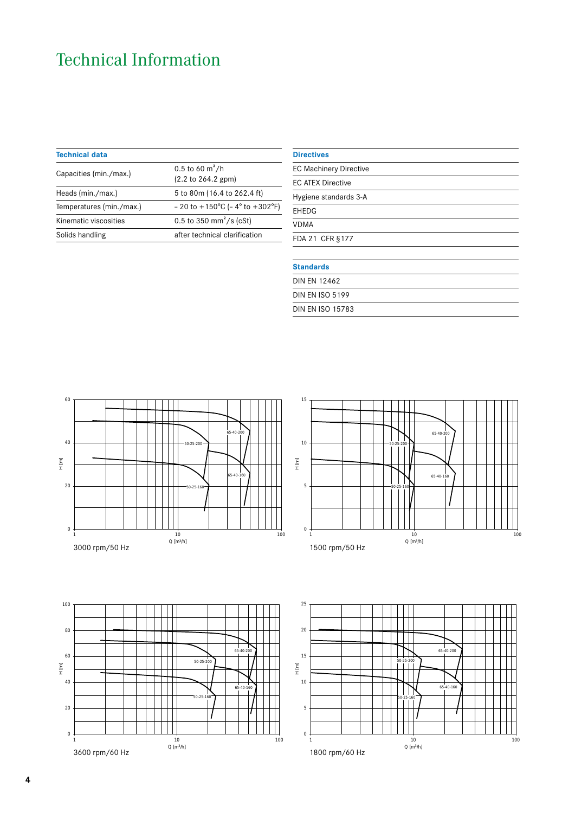# Technical Information

| <b>Technical data</b>                                         |  |  |
|---------------------------------------------------------------|--|--|
|                                                               |  |  |
| 5 to 80m (16.4 to 262.4 ft)                                   |  |  |
| $-20$ to $+150^{\circ}$ C ( $-4^{\circ}$ to $+302^{\circ}$ F) |  |  |
|                                                               |  |  |
| after technical clarification                                 |  |  |
|                                                               |  |  |

| <b>Directives</b>             |  |
|-------------------------------|--|
| <b>EC Machinery Directive</b> |  |
| <b>EC ATEX Directive</b>      |  |
| Hygiene standards 3-A         |  |
| EHEDG                         |  |
| <b>VDMA</b>                   |  |
| FDA 21 CFR §177               |  |
|                               |  |
| <b>Standards</b>              |  |
| <b>DIN EN 12462</b>           |  |
| <b>DIN EN ISO 5199</b>        |  |

50-25-160

DIN EN ISO 15783

20







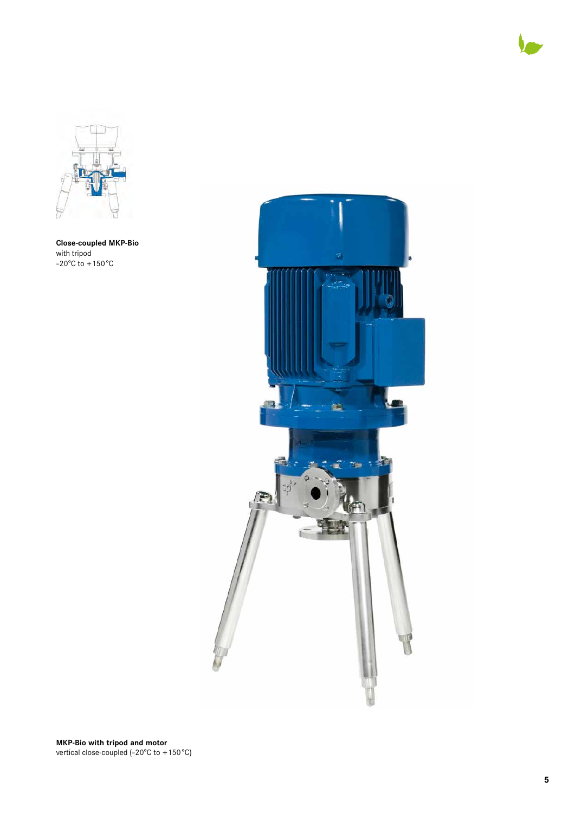



**Close-coupled MKP-Bio** with tripod –20°C to +150°C



**MKP-Bio with tripod and motor** vertical close-coupled (–20°C to +150°C)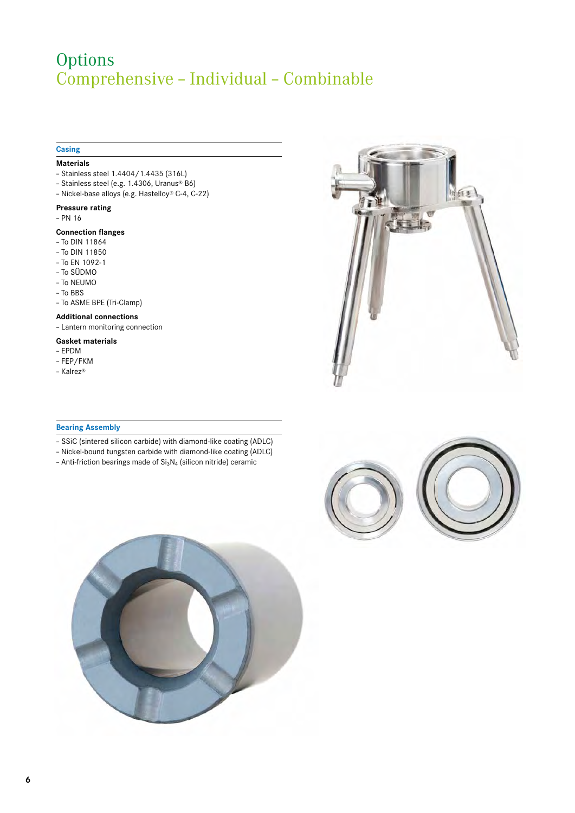# Options Comprehensive – Individual – Combinable

# **Casing**

## **Materials**

- Stainless steel 1.4404/1.4435 (316L)
- Stainless steel (e.g. 1.4306, Uranus® B6)
- Nickel-base alloys (e.g. Hastelloy® C-4, C-22)

## **Pressure rating**

– PN 16

# **Connection flanges**

- To DIN 11864
- To DIN 11850
- To EN 1092-1
- To SÜDMO
- To NEUMO
- To BBS
- To ASME BPE (Tri-Clamp)

#### **Additional connections**

– Lantern monitoring connection

#### **Gasket materials**

- EPDM
- FEP/FKM
- Kalrez®

# **Bearing Assembly**

- SSiC (sintered silicon carbide) with diamond-like coating (ADLC)
- Nickel-bound tungsten carbide with diamond-like coating (ADLC)
- Anti-friction bearings made of  $Si<sub>3</sub>N<sub>4</sub>$  (silicon nitride) ceramic





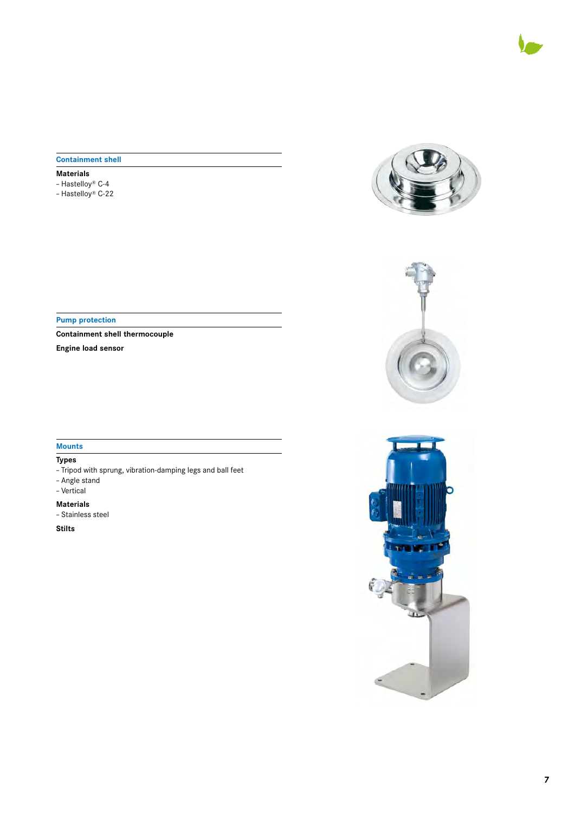

# **Containment shell**

# **Materials**

- Hastelloy® C-4
- Hastelloy® C-22

**Pump protection**

**Containment shell thermocouple**

**Engine load sensor**

# **Mounts**

# **Types**

- Tripod with sprung, vibration-damping legs and ball feet
- Angle stand
- Vertical
- **Materials**
- Stainless steel

**Stilts**





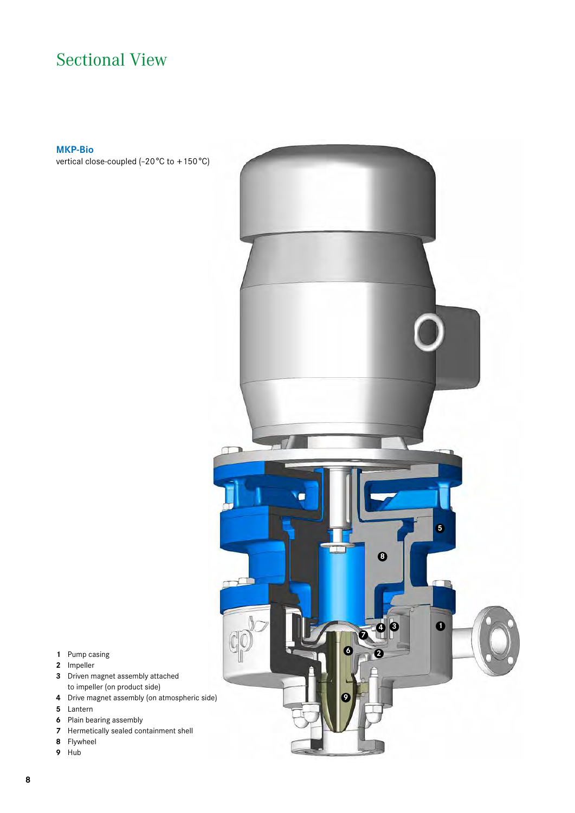# Sectional View

# **MKP-Bio**

vertical close-coupled (–20°C to +150°C)



- Pump casing
- Impeller
- Driven magnet assembly attached to impeller (on product side)
- Drive magnet assembly (on atmospheric side)
- Lantern
- Plain bearing assembly
- Hermetically sealed containment shell
- Flywheel
- Hub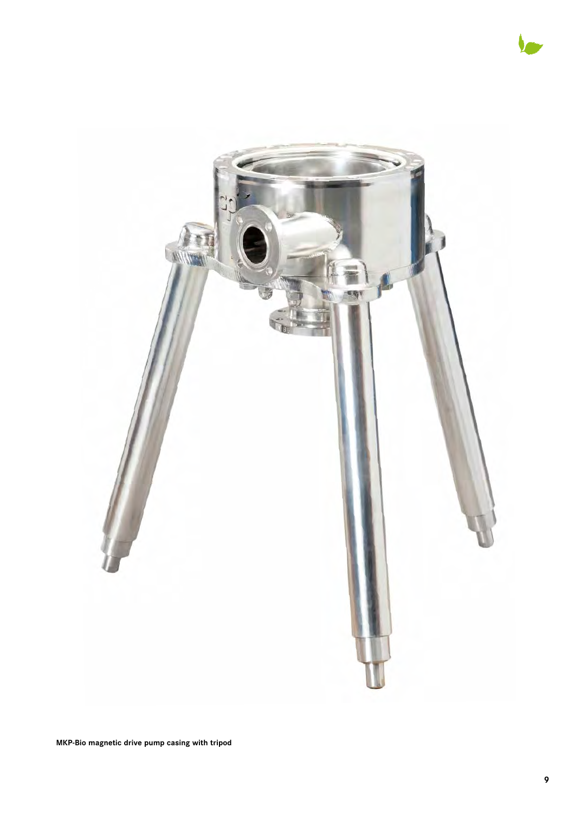



**MKP-Bio magnetic drive pump casing with tripod**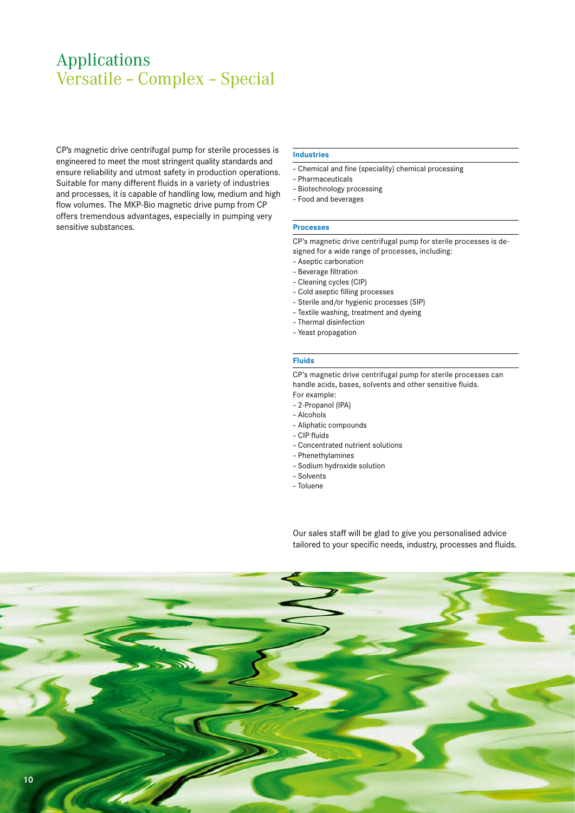# Applications Versatile – Complex – Special

CP's magnetic drive centrifugal pump for sterile processes is engineered to meet the most stringent quality standards and ensure reliability and utmost safety in production operations. Suitable for many different fluids in a variety of industries and processes, it is capable of handling low, medium and high flow volumes. The MKP-Bio magnetic drive pump from CP offers tremendous advantages, especially in pumping very sensitive substances.

#### **Industries**

- Chemical and fine (speciality) chemical processing
- Pharmaceuticals
- Biotechnology processing
- Food and beverages

#### **Processes**

CP's magnetic drive centrifugal pump for sterile processes is designed for a wide range of processes, including:

- Aseptic carbonation
- Beverage filtration
- Cleaning cycles (CIP)
- Cold aseptic filling processes
- Sterile and/or hygienic processes (SIP)
- Textile washing, treatment and dyeing
- Thermal disinfection
- Yeast propagation

# **Fluids**

CP's magnetic drive centrifugal pump for sterile processes can handle acids, bases, solvents and other sensitive fluids.

- For example: – 2-Propanol (IPA)
- Alcohols
- Aliphatic compounds
- CIP fluids
- Concentrated nutrient solutions
- Phenethylamines
- Sodium hydroxide solution
- Solvents
- Toluene

Our sales staff will be glad to give you personalised advice tailored to your specific needs, industry, processes and fluids.

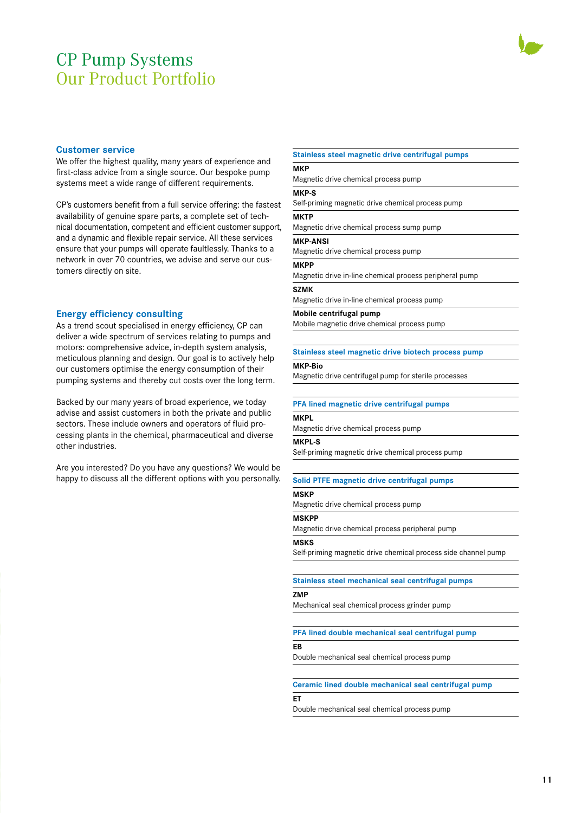# CP Pump Systems Our Product Portfolio



# **Customer service**

We offer the highest quality, many years of experience and first-class advice from a single source. Our bespoke pump systems meet a wide range of different requirements.

CP's customers benefit from a full service offering: the fastest availability of genuine spare parts, a complete set of technical documentation, competent and efficient customer support, and a dynamic and flexible repair service. All these services ensure that your pumps will operate faultlessly. Thanks to a network in over 70 countries, we advise and serve our customers directly on site.

## **Energy efficiency consulting**

As a trend scout specialised in energy efficiency, CP can deliver a wide spectrum of services relating to pumps and motors: comprehensive advice, in-depth system analysis, meticulous planning and design. Our goal is to actively help our customers optimise the energy consumption of their pumping systems and thereby cut costs over the long term.

Backed by our many years of broad experience, we today advise and assist customers in both the private and public sectors. These include owners and operators of fluid processing plants in the chemical, pharmaceutical and diverse other industries.

Are you interested? Do you have any questions? We would be happy to discuss all the different options with you personally.

#### **Stainless steel magnetic drive centrifugal pumps**

**MKP** Magnetic drive chemical process pump

# **MKP-S**

Self-priming magnetic drive chemical process pump

#### **MKTP**

Magnetic drive chemical process sump pump

## **MKP-ANSI**

Magnetic drive chemical process pump

#### **MKPP**

Magnetic drive in-line chemical process peripheral pump

#### **SZMK**

Magnetic drive in-line chemical process pump

#### **Mobile centrifugal pump**

Mobile magnetic drive chemical process pump

#### **Stainless steel magnetic drive biotech process pump**

### **MKP-Bio**

Magnetic drive centrifugal pump for sterile processes

#### **PFA lined magnetic drive centrifugal pumps**

# **MKPL**

Magnetic drive chemical process pump

#### **MKPL-S**

Self-priming magnetic drive chemical process pump

### **Solid PTFE magnetic drive centrifugal pumps**

#### **MSKP**

Magnetic drive chemical process pump

#### **MSKPP**

Magnetic drive chemical process peripheral pump

#### **MSKS**

Self-priming magnetic drive chemical process side channel pump

# **Stainless steel mechanical seal centrifugal pumps**

# **ZMP**

Mechanical seal chemical process grinder pump

# **PFA lined double mechanical seal centrifugal pump**

# **EB**

Double mechanical seal chemical process pump

# **Ceramic lined double mechanical seal centrifugal pump**

# **ET**

Double mechanical seal chemical process pump